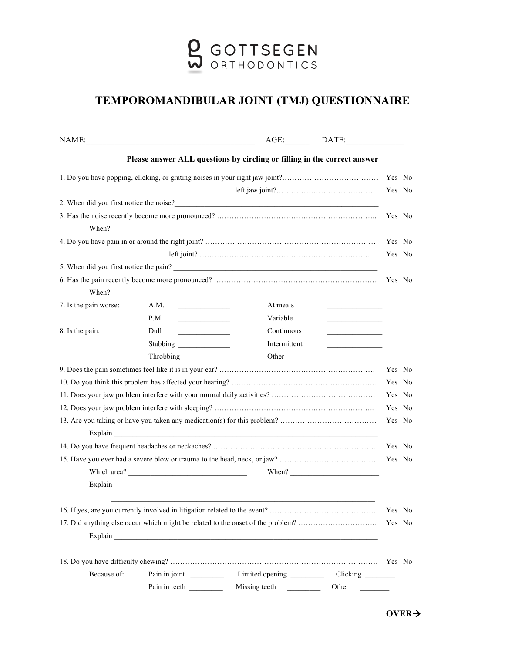

## **TEMPOROMANDIBULAR JOINT (TMJ) QUESTIONNAIRE**

|                                                                                                                                                                                                                                                                                                                       |                                         | AGE:                                                                                                                                                                                                                                                                                                                                                                                                          | DATE:                                   |        |        |
|-----------------------------------------------------------------------------------------------------------------------------------------------------------------------------------------------------------------------------------------------------------------------------------------------------------------------|-----------------------------------------|---------------------------------------------------------------------------------------------------------------------------------------------------------------------------------------------------------------------------------------------------------------------------------------------------------------------------------------------------------------------------------------------------------------|-----------------------------------------|--------|--------|
|                                                                                                                                                                                                                                                                                                                       |                                         | Please answer ALL questions by circling or filling in the correct answer                                                                                                                                                                                                                                                                                                                                      |                                         |        |        |
| 1. Do you have popping, clicking, or grating noises in your right jaw joint?                                                                                                                                                                                                                                          |                                         |                                                                                                                                                                                                                                                                                                                                                                                                               |                                         |        | Yes No |
|                                                                                                                                                                                                                                                                                                                       |                                         |                                                                                                                                                                                                                                                                                                                                                                                                               |                                         |        | Yes No |
|                                                                                                                                                                                                                                                                                                                       |                                         | 2. When did you first notice the noise?<br><u> </u>                                                                                                                                                                                                                                                                                                                                                           |                                         |        |        |
| When? $\frac{1}{2}$ $\frac{1}{2}$ $\frac{1}{2}$ $\frac{1}{2}$ $\frac{1}{2}$ $\frac{1}{2}$ $\frac{1}{2}$ $\frac{1}{2}$ $\frac{1}{2}$ $\frac{1}{2}$ $\frac{1}{2}$ $\frac{1}{2}$ $\frac{1}{2}$ $\frac{1}{2}$ $\frac{1}{2}$ $\frac{1}{2}$ $\frac{1}{2}$ $\frac{1}{2}$ $\frac{1}{2}$ $\frac{1}{2}$ $\frac{1}{2}$ $\frac{1$ |                                         |                                                                                                                                                                                                                                                                                                                                                                                                               |                                         |        | Yes No |
|                                                                                                                                                                                                                                                                                                                       |                                         |                                                                                                                                                                                                                                                                                                                                                                                                               |                                         |        | Yes No |
|                                                                                                                                                                                                                                                                                                                       |                                         |                                                                                                                                                                                                                                                                                                                                                                                                               |                                         |        | Yes No |
|                                                                                                                                                                                                                                                                                                                       |                                         | 5. When did you first notice the pain?                                                                                                                                                                                                                                                                                                                                                                        |                                         |        |        |
|                                                                                                                                                                                                                                                                                                                       |                                         |                                                                                                                                                                                                                                                                                                                                                                                                               |                                         |        | Yes No |
|                                                                                                                                                                                                                                                                                                                       |                                         | When? $\frac{1}{\sqrt{1-\frac{1}{2}}\sqrt{1-\frac{1}{2}}\sqrt{1-\frac{1}{2}}\sqrt{1-\frac{1}{2}}\sqrt{1-\frac{1}{2}}\sqrt{1-\frac{1}{2}}\sqrt{1-\frac{1}{2}}\sqrt{1-\frac{1}{2}}\sqrt{1-\frac{1}{2}}\sqrt{1-\frac{1}{2}}\sqrt{1-\frac{1}{2}}\sqrt{1-\frac{1}{2}}\sqrt{1-\frac{1}{2}}\sqrt{1-\frac{1}{2}}\sqrt{1-\frac{1}{2}}\sqrt{1-\frac{1}{2}}\sqrt{1-\frac{1}{2}}\sqrt{1-\frac{1}{2}}\sqrt{1-\frac{1}{2}}$ |                                         |        |        |
| 7. Is the pain worse:<br>8. Is the pain:                                                                                                                                                                                                                                                                              | A.M.                                    | At meals                                                                                                                                                                                                                                                                                                                                                                                                      |                                         |        |        |
|                                                                                                                                                                                                                                                                                                                       | P.M.                                    | Variable                                                                                                                                                                                                                                                                                                                                                                                                      | <u> 1980 - Johann Barbara, martin a</u> |        |        |
|                                                                                                                                                                                                                                                                                                                       | Dull<br><u> Albanya (Barat Inggris)</u> | Continuous                                                                                                                                                                                                                                                                                                                                                                                                    |                                         |        |        |
|                                                                                                                                                                                                                                                                                                                       |                                         | Intermittent                                                                                                                                                                                                                                                                                                                                                                                                  |                                         |        |        |
|                                                                                                                                                                                                                                                                                                                       |                                         | Other                                                                                                                                                                                                                                                                                                                                                                                                         |                                         |        |        |
|                                                                                                                                                                                                                                                                                                                       |                                         |                                                                                                                                                                                                                                                                                                                                                                                                               |                                         |        | Yes No |
|                                                                                                                                                                                                                                                                                                                       |                                         |                                                                                                                                                                                                                                                                                                                                                                                                               |                                         |        | Yes No |
|                                                                                                                                                                                                                                                                                                                       |                                         |                                                                                                                                                                                                                                                                                                                                                                                                               |                                         | Yes No |        |
|                                                                                                                                                                                                                                                                                                                       |                                         |                                                                                                                                                                                                                                                                                                                                                                                                               |                                         |        | Yes No |
|                                                                                                                                                                                                                                                                                                                       |                                         |                                                                                                                                                                                                                                                                                                                                                                                                               |                                         | Yes No |        |
|                                                                                                                                                                                                                                                                                                                       |                                         |                                                                                                                                                                                                                                                                                                                                                                                                               |                                         |        | Yes No |
|                                                                                                                                                                                                                                                                                                                       |                                         |                                                                                                                                                                                                                                                                                                                                                                                                               |                                         |        | Yes No |
|                                                                                                                                                                                                                                                                                                                       |                                         |                                                                                                                                                                                                                                                                                                                                                                                                               | When? $\qquad \qquad$                   |        |        |
|                                                                                                                                                                                                                                                                                                                       |                                         |                                                                                                                                                                                                                                                                                                                                                                                                               |                                         |        |        |
|                                                                                                                                                                                                                                                                                                                       |                                         |                                                                                                                                                                                                                                                                                                                                                                                                               |                                         |        | Yes No |
| 17. Did anything else occur which might be related to the onset of the problem?                                                                                                                                                                                                                                       |                                         |                                                                                                                                                                                                                                                                                                                                                                                                               |                                         |        | Yes No |
|                                                                                                                                                                                                                                                                                                                       |                                         |                                                                                                                                                                                                                                                                                                                                                                                                               |                                         |        |        |
|                                                                                                                                                                                                                                                                                                                       |                                         |                                                                                                                                                                                                                                                                                                                                                                                                               |                                         |        | Yes No |
| Because of:                                                                                                                                                                                                                                                                                                           | Pain in joint                           | Limited opening                                                                                                                                                                                                                                                                                                                                                                                               | Clicking _________                      |        |        |
|                                                                                                                                                                                                                                                                                                                       | Pain in teeth                           | Missing teeth                                                                                                                                                                                                                                                                                                                                                                                                 | Other                                   |        |        |